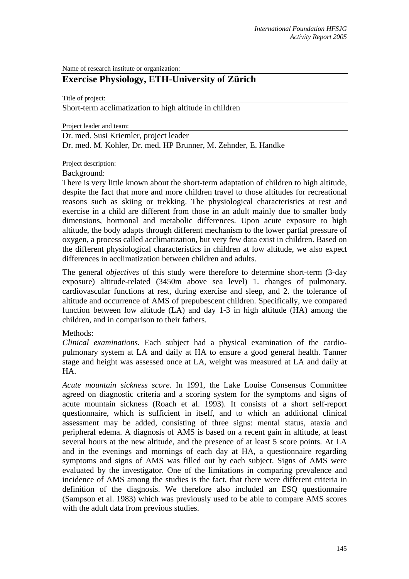Name of research institute or organization:

# **Exercise Physiology, ETH-University of Zürich**

Title of project:

Short-term acclimatization to high altitude in children

Project leader and team:

Dr. med. Susi Kriemler, project leader Dr. med. M. Kohler, Dr. med. HP Brunner, M. Zehnder, E. Handke

#### Project description:

Background:

There is very little known about the short-term adaptation of children to high altitude, despite the fact that more and more children travel to those altitudes for recreational reasons such as skiing or trekking. The physiological characteristics at rest and exercise in a child are different from those in an adult mainly due to smaller body dimensions, hormonal and metabolic differences. Upon acute exposure to high altitude, the body adapts through different mechanism to the lower partial pressure of oxygen, a process called acclimatization, but very few data exist in children. Based on the different physiological characteristics in children at low altitude, we also expect differences in acclimatization between children and adults.

The general *objectives* of this study were therefore to determine short-term (3-day exposure) altitude-related (3450m above sea level) 1. changes of pulmonary, cardiovascular functions at rest, during exercise and sleep, and 2. the tolerance of altitude and occurrence of AMS of prepubescent children. Specifically, we compared function between low altitude (LA) and day 1-3 in high altitude (HA) among the children, and in comparison to their fathers.

## Methods:

*Clinical examinations.* Each subject had a physical examination of the cardiopulmonary system at LA and daily at HA to ensure a good general health. Tanner stage and height was assessed once at LA, weight was measured at LA and daily at HA.

*Acute mountain sickness score.* In 1991, the Lake Louise Consensus Committee agreed on diagnostic criteria and a scoring system for the symptoms and signs of acute mountain sickness (Roach et al. 1993). It consists of a short self-report questionnaire, which is sufficient in itself, and to which an additional clinical assessment may be added, consisting of three signs: mental status, ataxia and peripheral edema. A diagnosis of AMS is based on a recent gain in altitude, at least several hours at the new altitude, and the presence of at least 5 score points. At LA and in the evenings and mornings of each day at HA, a questionnaire regarding symptoms and signs of AMS was filled out by each subject. Signs of AMS were evaluated by the investigator. One of the limitations in comparing prevalence and incidence of AMS among the studies is the fact, that there were different criteria in definition of the diagnosis. We therefore also included an ESQ questionnaire (Sampson et al. 1983) which was previously used to be able to compare AMS scores with the adult data from previous studies.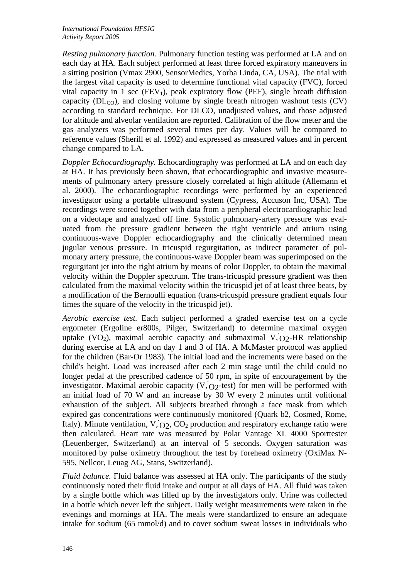*Resting pulmonary function.* Pulmonary function testing was performed at LA and on each day at HA. Each subject performed at least three forced expiratory maneuvers in a sitting position (Vmax 2900, SensorMedics, Yorba Linda, CA, USA). The trial with the largest vital capacity is used to determine functional vital capacity (FVC), forced vital capacity in 1 sec (FEV<sub>1</sub>), peak expiratory flow (PEF), single breath diffusion capacity ( $DL_{CO}$ ), and closing volume by single breath nitrogen washout tests (CV) according to standard technique. For DLCO, unadjusted values, and those adjusted for altitude and alveolar ventilation are reported. Calibration of the flow meter and the gas analyzers was performed several times per day. Values will be compared to reference values (Sherill et al. 1992) and expressed as measured values and in percent change compared to LA.

*Doppler Echocardiography.* Echocardiography was performed at LA and on each day at HA. It has previously been shown, that echocardiographic and invasive measurements of pulmonary artery pressure closely correlated at high altitude (Allemann et al. 2000). The echocardiographic recordings were performed by an experienced investigator using a portable ultrasound system (Cypress, Accuson Inc, USA). The recordings were stored together with data from a peripheral electrocardiographic lead on a videotape and analyzed off line. Systolic pulmonary-artery pressure was evaluated from the pressure gradient between the right ventricle and atrium using continuous-wave Doppler echocardiography and the clinically determined mean jugular venous pressure. In tricuspid regurgitation, as indirect parameter of pulmonary artery pressure, the continuous-wave Doppler beam was superimposed on the regurgitant jet into the right atrium by means of color Doppler, to obtain the maximal velocity within the Doppler spectrum. The trans-tricuspid pressure gradient was then calculated from the maximal velocity within the tricuspid jet of at least three beats, by a modification of the Bernoulli equation (trans-tricuspid pressure gradient equals four times the square of the velocity in the tricuspid jet).

*Aerobic exercise test.* Each subject performed a graded exercise test on a cycle ergometer (Ergoline er800s, Pilger, Switzerland) to determine maximal oxygen uptake (VO<sub>2</sub>), maximal aerobic capacity and submaximal V, O<sub>2</sub>-HR relationship during exercise at LA and on day 1 and 3 of HA. A McMaster protocol was applied for the children (Bar-Or 1983). The initial load and the increments were based on the child's height. Load was increased after each 2 min stage until the child could no longer pedal at the prescribed cadence of 50 rpm, in spite of encouragement by the investigator. Maximal aerobic capacity  $(V, O_2$ -test) for men will be performed with an initial load of 70 W and an increase by  $\overline{30}$  W every 2 minutes until volitional exhaustion of the subject. All subjects breathed through a face mask from which expired gas concentrations were continuously monitored (Quark b2, Cosmed, Rome, Italy). Minute ventilation,  $V$ ,  $O_2$ ,  $CO_2$  production and respiratory exchange ratio were then calculated. Heart rate was measured by Polar Vantage XL 4000 Sporttester (Leuenberger, Switzerland) at an interval of 5 seconds. Oxygen saturation was monitored by pulse oximetry throughout the test by forehead oximetry (OxiMax N-595, Nellcor, Leuag AG, Stans, Switzerland).

*Fluid balance.* Fluid balance was assessed at HA only. The participants of the study continuously noted their fluid intake and output at all days of HA. All fluid was taken by a single bottle which was filled up by the investigators only. Urine was collected in a bottle which never left the subject. Daily weight measurements were taken in the evenings and mornings at HA. The meals were standardized to ensure an adequate intake for sodium (65 mmol/d) and to cover sodium sweat losses in individuals who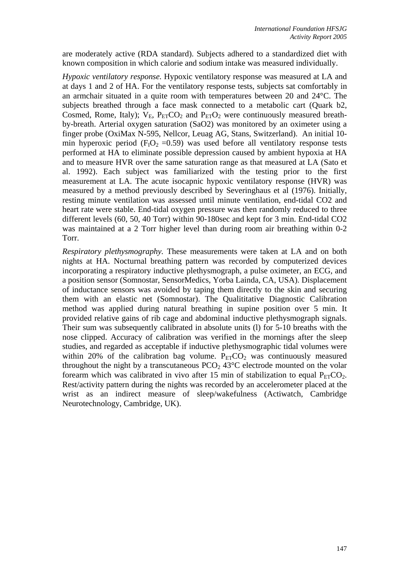are moderately active (RDA standard). Subjects adhered to a standardized diet with known composition in which calorie and sodium intake was measured individually.

*Hypoxic ventilatory response.* Hypoxic ventilatory response was measured at LA and at days 1 and 2 of HA. For the ventilatory response tests, subjects sat comfortably in an armchair situated in a quite room with temperatures between 20 and 24°C. The subjects breathed through a face mask connected to a metabolic cart (Quark b2, Cosmed, Rome, Italy);  $V_{E}$ ,  $P_{ET}CO_2$  and  $P_{ET}O_2$  were continuously measured breathby-breath. Arterial oxygen saturation (SaO2) was monitored by an oximeter using a finger probe (OxiMax N-595, Nellcor, Leuag AG, Stans, Switzerland). An initial 10 min hyperoxic period ( $F_1O_2 = 0.59$ ) was used before all ventilatory response tests performed at HA to eliminate possible depression caused by ambient hypoxia at HA and to measure HVR over the same saturation range as that measured at LA (Sato et al. 1992). Each subject was familiarized with the testing prior to the first measurement at LA. The acute isocapnic hypoxic ventilatory response (HVR) was measured by a method previously described by Severinghaus et al (1976). Initially, resting minute ventilation was assessed until minute ventilation, end-tidal CO2 and heart rate were stable. End-tidal oxygen pressure was then randomly reduced to three different levels (60, 50, 40 Torr) within 90-180sec and kept for 3 min. End-tidal CO2 was maintained at a 2 Torr higher level than during room air breathing within 0-2 Torr.

*Respiratory plethysmography.* These measurements were taken at LA and on both nights at HA. Nocturnal breathing pattern was recorded by computerized devices incorporating a respiratory inductive plethysmograph, a pulse oximeter, an ECG, and a position sensor (Somnostar, SensorMedics, Yorba Lainda, CA, USA). Displacement of inductance sensors was avoided by taping them directly to the skin and securing them with an elastic net (Somnostar). The Qualititative Diagnostic Calibration method was applied during natural breathing in supine position over 5 min. It provided relative gains of rib cage and abdominal inductive plethysmograph signals. Their sum was subsequently calibrated in absolute units (1) for 5-10 breaths with the nose clipped. Accuracy of calibration was verified in the mornings after the sleep studies, and regarded as acceptable if inductive plethysmographic tidal volumes were within 20% of the calibration bag volume.  $P_{ET}CO_2$  was continuously measured throughout the night by a transcutaneous  $PCO<sub>2</sub> 43^{\circ}C$  electrode mounted on the volar forearm which was calibrated in vivo after 15 min of stabilization to equal  $P_{ET}CO_2$ . Rest/activity pattern during the nights was recorded by an accelerometer placed at the wrist as an indirect measure of sleep/wakefulness (Actiwatch, Cambridge Neurotechnology, Cambridge, UK).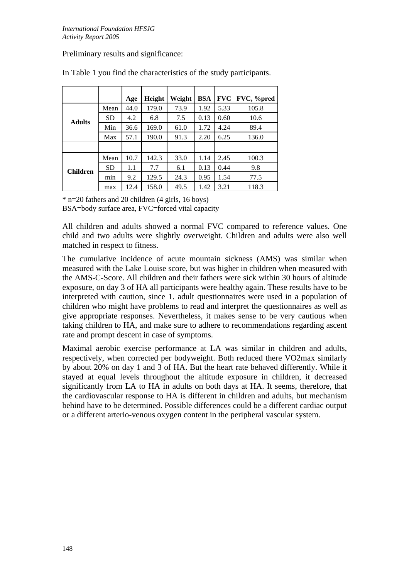# Preliminary results and significance:

|                 |           | Age  | Height | Weight | <b>BSA</b> | <b>FVC</b> | FVC, %pred |
|-----------------|-----------|------|--------|--------|------------|------------|------------|
| <b>Adults</b>   | Mean      | 44.0 | 179.0  | 73.9   | 1.92       | 5.33       | 105.8      |
|                 | <b>SD</b> | 4.2  | 6.8    | 7.5    | 0.13       | 0.60       | 10.6       |
|                 | Min       | 36.6 | 169.0  | 61.0   | 1.72       | 4.24       | 89.4       |
|                 | Max       | 57.1 | 190.0  | 91.3   | 2.20       | 6.25       | 136.0      |
|                 |           |      |        |        |            |            |            |
| <b>Children</b> | Mean      | 10.7 | 142.3  | 33.0   | 1.14       | 2.45       | 100.3      |
|                 | <b>SD</b> | 1.1  | 7.7    | 6.1    | 0.13       | 0.44       | 9.8        |
|                 | min       | 9.2  | 129.5  | 24.3   | 0.95       | 1.54       | 77.5       |
|                 | max       | 12.4 | 158.0  | 49.5   | 1.42       | 3.21       | 118.3      |

In Table 1 you find the characteristics of the study participants.

 $*$  n=20 fathers and 20 children (4 girls, 16 boys)

BSA=body surface area, FVC=forced vital capacity

All children and adults showed a normal FVC compared to reference values. One child and two adults were slightly overweight. Children and adults were also well matched in respect to fitness.

The cumulative incidence of acute mountain sickness (AMS) was similar when measured with the Lake Louise score, but was higher in children when measured with the AMS-C-Score. All children and their fathers were sick within 30 hours of altitude exposure, on day 3 of HA all participants were healthy again. These results have to be interpreted with caution, since 1. adult questionnaires were used in a population of children who might have problems to read and interpret the questionnaires as well as give appropriate responses. Nevertheless, it makes sense to be very cautious when taking children to HA, and make sure to adhere to recommendations regarding ascent rate and prompt descent in case of symptoms.

Maximal aerobic exercise performance at LA was similar in children and adults, respectively, when corrected per bodyweight. Both reduced there VO2max similarly by about 20% on day 1 and 3 of HA. But the heart rate behaved differently. While it stayed at equal levels throughout the altitude exposure in children, it decreased significantly from LA to HA in adults on both days at HA. It seems, therefore, that the cardiovascular response to HA is different in children and adults, but mechanism behind have to be determined. Possible differences could be a different cardiac output or a different arterio-venous oxygen content in the peripheral vascular system.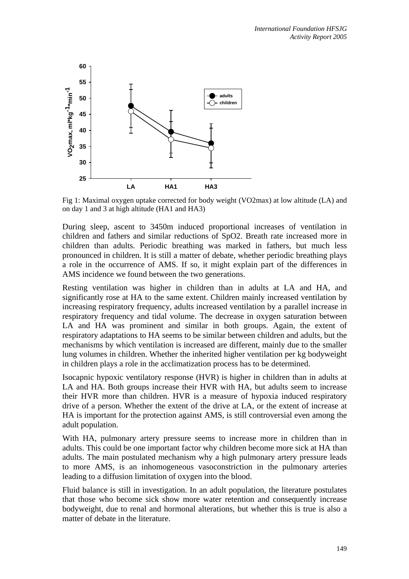

Fig 1: Maximal oxygen uptake corrected for body weight (VO2max) at low altitude (LA) and on day 1 and 3 at high altitude (HA1 and HA3)

During sleep, ascent to 3450m induced proportional increases of ventilation in children and fathers and similar reductions of SpO2. Breath rate increased more in children than adults. Periodic breathing was marked in fathers, but much less pronounced in children. It is still a matter of debate, whether periodic breathing plays a role in the occurrence of AMS. If so, it might explain part of the differences in AMS incidence we found between the two generations.

Resting ventilation was higher in children than in adults at LA and HA, and significantly rose at HA to the same extent. Children mainly increased ventilation by increasing respiratory frequency, adults increased ventilation by a parallel increase in respiratory frequency and tidal volume. The decrease in oxygen saturation between LA and HA was prominent and similar in both groups. Again, the extent of respiratory adaptations to HA seems to be similar between children and adults, but the mechanisms by which ventilation is increased are different, mainly due to the smaller lung volumes in children. Whether the inherited higher ventilation per kg bodyweight in children plays a role in the acclimatization process has to be determined.

Isocapnic hypoxic ventilatory response (HVR) is higher in children than in adults at LA and HA. Both groups increase their HVR with HA, but adults seem to increase their HVR more than children. HVR is a measure of hypoxia induced respiratory drive of a person. Whether the extent of the drive at LA, or the extent of increase at HA is important for the protection against AMS, is still controversial even among the adult population.

With HA, pulmonary artery pressure seems to increase more in children than in adults. This could be one important factor why children become more sick at HA than adults. The main postulated mechanism why a high pulmonary artery pressure leads to more AMS, is an inhomogeneous vasoconstriction in the pulmonary arteries leading to a diffusion limitation of oxygen into the blood.

Fluid balance is still in investigation. In an adult population, the literature postulates that those who become sick show more water retention and consequently increase bodyweight, due to renal and hormonal alterations, but whether this is true is also a matter of debate in the literature.